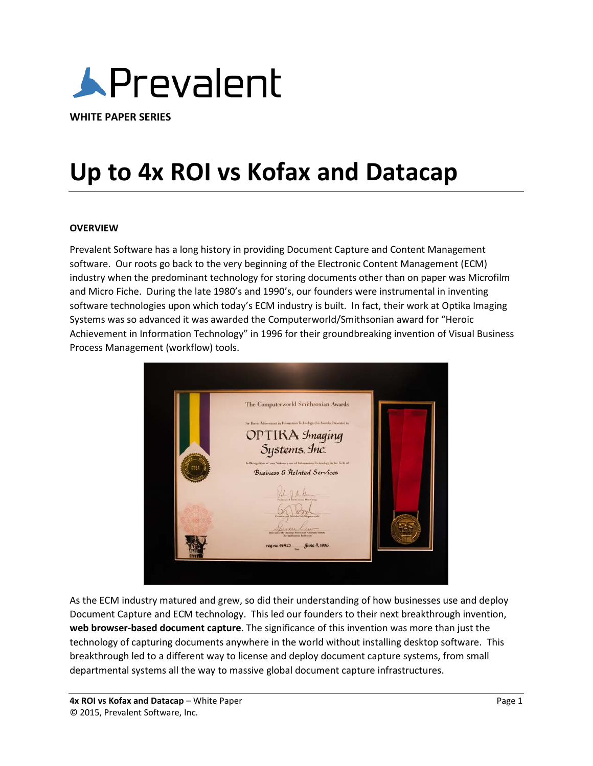

**WHITE PAPER SERIES**

# **Up to 4x ROI vs Kofax and Datacap**

#### **OVERVIEW**

Prevalent Software has a long history in providing Document Capture and Content Management software. Our roots go back to the very beginning of the Electronic Content Management (ECM) industry when the predominant technology for storing documents other than on paper was Microfilm and Micro Fiche. During the late 1980's and 1990's, our founders were instrumental in inventing software technologies upon which today's ECM industry is built. In fact, their work at Optika Imaging Systems was so advanced it was awarded the Computerworld/Smithsonian award for "Heroic Achievement in Information Technology" in 1996 for their groundbreaking invention of Visual Business Process Management (workflow) tools.



As the ECM industry matured and grew, so did their understanding of how businesses use and deploy Document Capture and ECM technology. This led our founders to their next breakthrough invention, **web browser-based document capture**. The significance of this invention was more than just the technology of capturing documents anywhere in the world without installing desktop software. This breakthrough led to a different way to license and deploy document capture systems, from small departmental systems all the way to massive global document capture infrastructures.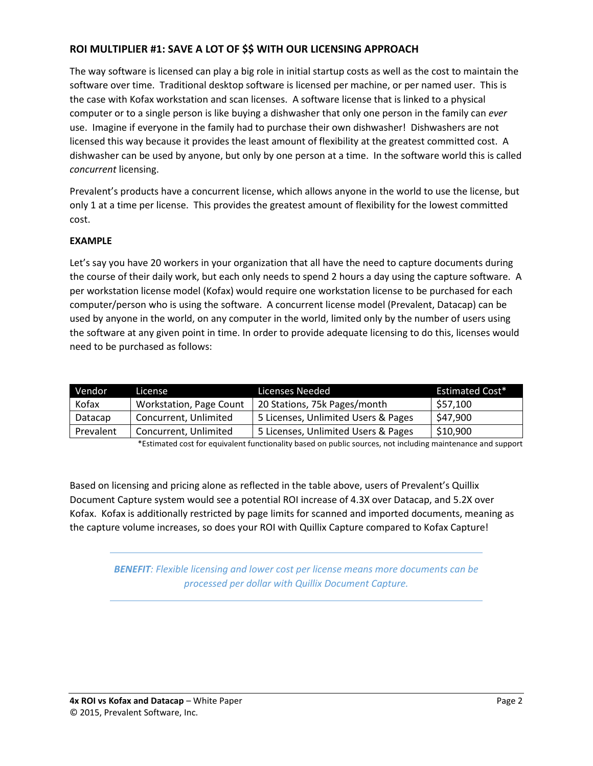## **ROI MULTIPLIER #1: SAVE A LOT OF \$\$ WITH OUR LICENSING APPROACH**

The way software is licensed can play a big role in initial startup costs as well as the cost to maintain the software over time. Traditional desktop software is licensed per machine, or per named user. This is the case with Kofax workstation and scan licenses. A software license that is linked to a physical computer or to a single person is like buying a dishwasher that only one person in the family can *ever* use. Imagine if everyone in the family had to purchase their own dishwasher! Dishwashers are not licensed this way because it provides the least amount of flexibility at the greatest committed cost. A dishwasher can be used by anyone, but only by one person at a time. In the software world this is called *concurrent* licensing.

Prevalent's products have a concurrent license, which allows anyone in the world to use the license, but only 1 at a time per license. This provides the greatest amount of flexibility for the lowest committed cost.

### **EXAMPLE**

Let's say you have 20 workers in your organization that all have the need to capture documents during the course of their daily work, but each only needs to spend 2 hours a day using the capture software. A per workstation license model (Kofax) would require one workstation license to be purchased for each computer/person who is using the software. A concurrent license model (Prevalent, Datacap) can be used by anyone in the world, on any computer in the world, limited only by the number of users using the software at any given point in time. In order to provide adequate licensing to do this, licenses would need to be purchased as follows:

| Vendor    | License                 | Licenses Needed                     | <b>Estimated Cost*</b> |
|-----------|-------------------------|-------------------------------------|------------------------|
| Kofax     | Workstation, Page Count | 20 Stations, 75k Pages/month        | \$57,100               |
| Datacap   | Concurrent, Unlimited   | 5 Licenses, Unlimited Users & Pages | \$47,900               |
| Prevalent | Concurrent, Unlimited   | 5 Licenses, Unlimited Users & Pages | \$10,900               |

\*Estimated cost for equivalent functionality based on public sources, not including maintenance and support

Based on licensing and pricing alone as reflected in the table above, users of Prevalent's Quillix Document Capture system would see a potential ROI increase of 4.3X over Datacap, and 5.2X over Kofax. Kofax is additionally restricted by page limits for scanned and imported documents, meaning as the capture volume increases, so does your ROI with Quillix Capture compared to Kofax Capture!

*BENEFIT: Flexible licensing and lower cost per license means more documents can be processed per dollar with Quillix Document Capture.*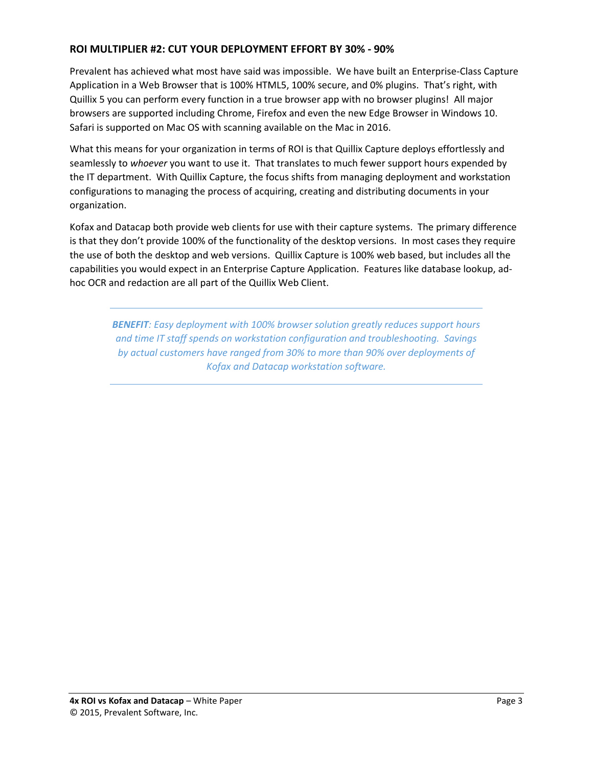## **ROI MULTIPLIER #2: CUT YOUR DEPLOYMENT EFFORT BY 30% - 90%**

Prevalent has achieved what most have said was impossible. We have built an Enterprise-Class Capture Application in a Web Browser that is 100% HTML5, 100% secure, and 0% plugins. That's right, with Quillix 5 you can perform every function in a true browser app with no browser plugins! All major browsers are supported including Chrome, Firefox and even the new Edge Browser in Windows 10. Safari is supported on Mac OS with scanning available on the Mac in 2016.

What this means for your organization in terms of ROI is that Quillix Capture deploys effortlessly and seamlessly to *whoever* you want to use it. That translates to much fewer support hours expended by the IT department. With Quillix Capture, the focus shifts from managing deployment and workstation configurations to managing the process of acquiring, creating and distributing documents in your organization.

Kofax and Datacap both provide web clients for use with their capture systems. The primary difference is that they don't provide 100% of the functionality of the desktop versions. In most cases they require the use of both the desktop and web versions. Quillix Capture is 100% web based, but includes all the capabilities you would expect in an Enterprise Capture Application. Features like database lookup, adhoc OCR and redaction are all part of the Quillix Web Client.

*BENEFIT: Easy deployment with 100% browser solution greatly reduces support hours and time IT staff spends on workstation configuration and troubleshooting. Savings by actual customers have ranged from 30% to more than 90% over deployments of Kofax and Datacap workstation software.*